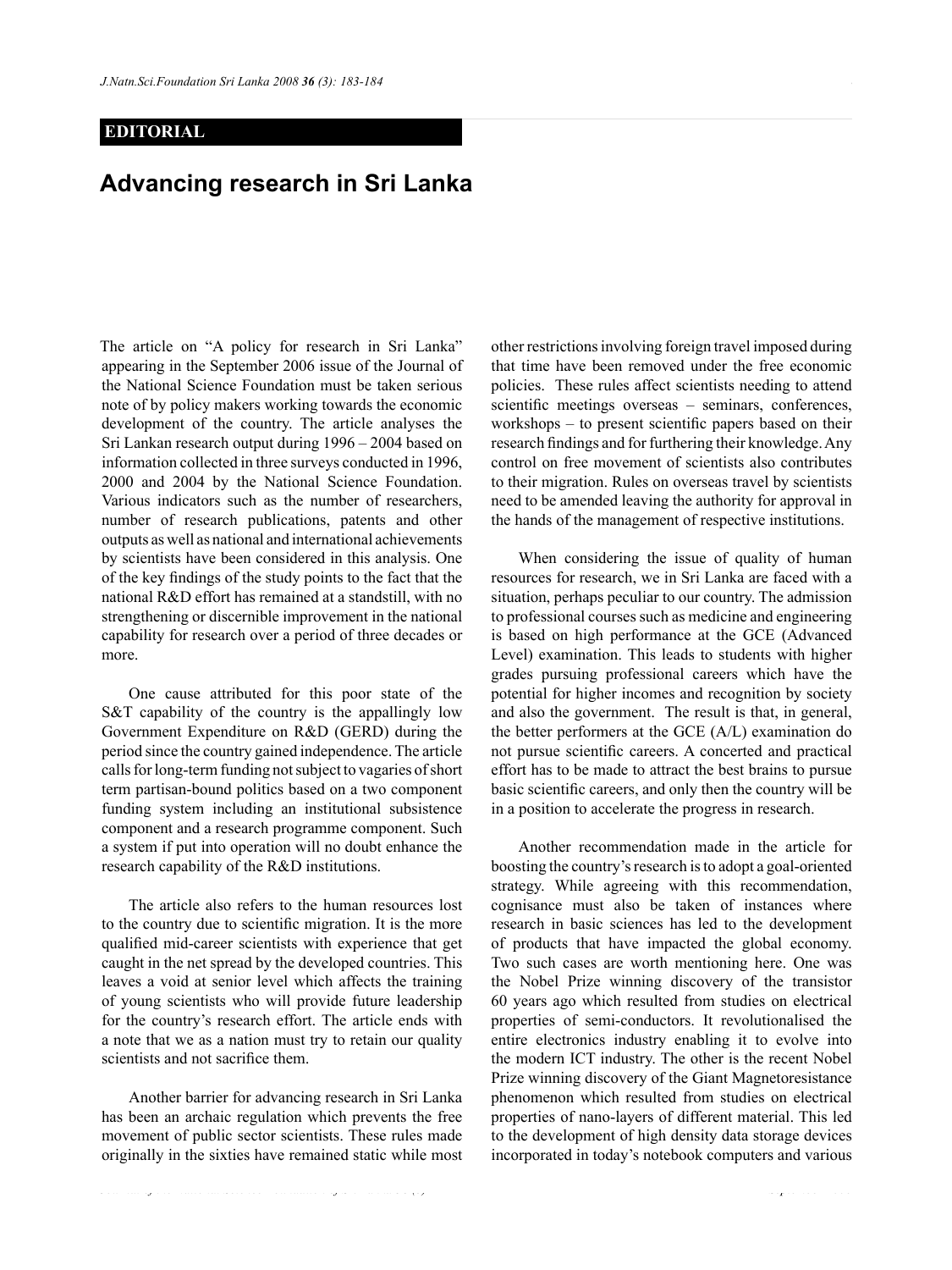## **EDITORIAL**

## **Advancing research in Sri Lanka**

The article on "A policy for research in Sri Lanka" appearing in the September 2006 issue of the Journal of the National Science Foundation must be taken serious note of by policy makers working towards the economic development of the country. The article analyses the Sri Lankan research output during 1996 – 2004 based on information collected in three surveys conducted in 1996, 2000 and 2004 by the National Science Foundation. Various indicators such as the number of researchers, number of research publications, patents and other outputs as well as national and international achievements by scientists have been considered in this analysis. One of the key findings of the study points to the fact that the national R&D effort has remained at a standstill, with no strengthening or discernible improvement in the national capability for research over a period of three decades or more.

 One cause attributed for this poor state of the S&T capability of the country is the appallingly low Government Expenditure on R&D (GERD) during the period since the country gained independence. The article calls for long-term funding not subject to vagaries of short term partisan-bound politics based on a two component funding system including an institutional subsistence component and a research programme component. Such a system if put into operation will no doubt enhance the research capability of the R&D institutions.

 The article also refers to the human resources lost to the country due to scientific migration. It is the more qualified mid-career scientists with experience that get caught in the net spread by the developed countries. This leaves a void at senior level which affects the training of young scientists who will provide future leadership for the country's research effort. The article ends with a note that we as a nation must try to retain our quality scientists and not sacrifice them.

 Another barrier for advancing research in Sri Lanka has been an archaic regulation which prevents the free movement of public sector scientists. These rules made originally in the sixties have remained static while most

*Journal of the National Science Foundation of Sri Lanka 36 (3) September 2008*

other restrictions involving foreign travel imposed during that time have been removed under the free economic policies. These rules affect scientists needing to attend scientific meetings overseas – seminars, conferences, workshops – to present scientific papers based on their research findings and for furthering their knowledge. Any control on free movement of scientists also contributes to their migration. Rules on overseas travel by scientists need to be amended leaving the authority for approval in the hands of the management of respective institutions.

 When considering the issue of quality of human resources for research, we in Sri Lanka are faced with a situation, perhaps peculiar to our country. The admission to professional courses such as medicine and engineering is based on high performance at the GCE (Advanced Level) examination. This leads to students with higher grades pursuing professional careers which have the potential for higher incomes and recognition by society and also the government. The result is that, in general, the better performers at the GCE (A/L) examination do not pursue scientific careers. A concerted and practical effort has to be made to attract the best brains to pursue basic scientific careers, and only then the country will be in a position to accelerate the progress in research.

 Another recommendation made in the article for boosting the country's research is to adopt a goal-oriented strategy. While agreeing with this recommendation, cognisance must also be taken of instances where research in basic sciences has led to the development of products that have impacted the global economy. Two such cases are worth mentioning here. One was the Nobel Prize winning discovery of the transistor 60 years ago which resulted from studies on electrical properties of semi-conductors. It revolutionalised the entire electronics industry enabling it to evolve into the modern ICT industry. The other is the recent Nobel Prize winning discovery of the Giant Magnetoresistance phenomenon which resulted from studies on electrical properties of nano-layers of different material. This led to the development of high density data storage devices incorporated in today's notebook computers and various